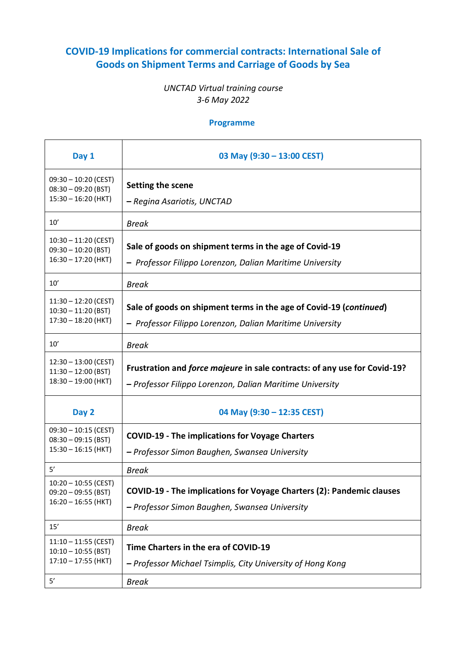## **COVID-19 Implications for commercial contracts: International Sale of Goods on Shipment Terms and Carriage of Goods by Sea**

## *UNCTAD Virtual training course 3-6 May 2022*

## **Programme**

| Day 1                                                                          | 03 May (9:30 - 13:00 CEST)                                                                                                            |
|--------------------------------------------------------------------------------|---------------------------------------------------------------------------------------------------------------------------------------|
| $09:30 - 10:20$ (CEST)<br>$08:30 - 09:20$ (BST)<br>$15:30 - 16:20$ (HKT)       | Setting the scene<br>– Regina Asariotis, UNCTAD                                                                                       |
| 10'                                                                            | <b>Break</b>                                                                                                                          |
| $10:30 - 11:20$ (CEST)<br>$09:30 - 10:20$ (BST)<br>$16:30 - 17:20$ (HKT)       | Sale of goods on shipment terms in the age of Covid-19<br>- Professor Filippo Lorenzon, Dalian Maritime University                    |
| 10'                                                                            | <b>Break</b>                                                                                                                          |
| $11:30 - 12:20$ (CEST)<br>$10:30 - 11:20$ (BST)<br>$17:30 - 18:20$ (HKT)       | Sale of goods on shipment terms in the age of Covid-19 (continued)<br>- Professor Filippo Lorenzon, Dalian Maritime University        |
| 10'                                                                            | <b>Break</b>                                                                                                                          |
| $12:30 - 13:00$ (CEST)<br>$11:30 - 12:00$ (BST)<br>$18:30 - 19:00$ (HKT)       | Frustration and force majeure in sale contracts: of any use for Covid-19?<br>- Professor Filippo Lorenzon, Dalian Maritime University |
| Day 2                                                                          | 04 May (9:30 - 12:35 CEST)                                                                                                            |
| $09:30 - 10:15$ (CEST)<br>$08:30 - 09:15$ (BST)<br>$15:30 - 16:15$ (HKT)       | <b>COVID-19 - The implications for Voyage Charters</b><br>- Professor Simon Baughen, Swansea University                               |
| 5'                                                                             | <b>Break</b>                                                                                                                          |
| $10:20 - 10:55$ (CEST)<br>$09:20 - 09:55$ (BST)<br>$16:20 - 16:55$ (HKT)       | COVID-19 - The implications for Voyage Charters (2): Pandemic clauses<br>- Professor Simon Baughen, Swansea University                |
| $15'$                                                                          | <b>Break</b>                                                                                                                          |
| $11:10 - 11:55$ (CEST)<br>$10:10 - 10:55$ (BST)<br>$17:10 - 17:55$ (HKT)<br>5' | Time Charters in the era of COVID-19<br>- Professor Michael Tsimplis, City University of Hong Kong<br><b>Break</b>                    |
|                                                                                |                                                                                                                                       |